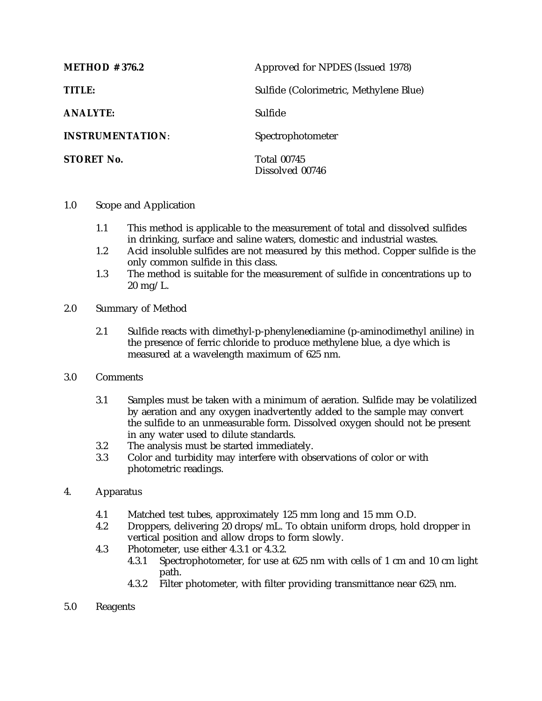| METHOD # 376.2          | Approved for NPDES (Issued 1978)       |
|-------------------------|----------------------------------------|
| <b>TITLE:</b>           | Sulfide (Colorimetric, Methylene Blue) |
| <b>ANALYTE:</b>         | Sulfide                                |
| <b>INSTRUMENTATION:</b> | Spectrophotometer                      |
| STORET No.              | <b>Total 00745</b><br>Dissolved 00746  |

- 1.0 Scope and Application
	- 1.1 This method is applicable to the measurement of total and dissolved sulfides in drinking, surface and saline waters, domestic and industrial wastes.
	- 1.2 Acid insoluble sulfides are not measured by this method. Copper sulfide is the only common sulfide in this class.
	- 1.3 The method is suitable for the measurement of sulfide in concentrations up to  $20 \text{ mg/L}$ .
- 2.0 Summary of Method
	- 2.1 Sulfide reacts with dimethyl-p-phenylenediamine (p-aminodimethyl aniline) in the presence of ferric chloride to produce methylene blue, a dye which is measured at a wavelength maximum of 625 nm.
- 3.0 Comments
	- 3.1 Samples must be taken with a minimum of aeration. Sulfide may be volatilized by aeration and any oxygen inadvertently added to the sample may convert the sulfide to an unmeasurable form. Dissolved oxygen should not be present in any water used to dilute standards.
	- 3.2 The analysis must be started immediately.<br>3.3 Color and turbidity may interfere with obs
	- 3.3 Color and turbidity may interfere with observations of color or with photometric readings.
- 4. Apparatus
	- 4.1 Matched test tubes, approximately 125 mm long and 15 mm O.D.
	- 4.2 Droppers, delivering 20 drops/mL. To obtain uniform drops, hold dropper in vertical position and allow drops to form slowly.
	- 4.3 Photometer, use either 4.3.1 or 4.3.2.
		- 4.3.1 Spectrophotometer, for use at 625 nm with cells of 1 cm and 10 cm light path.
		- 4.3.2 Filter photometer, with filter providing transmittance near 625\nm.
- 5.0 Reagents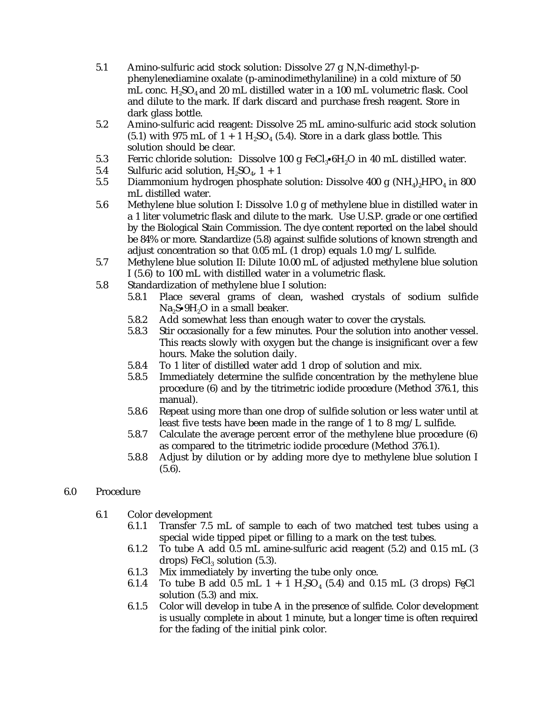- 5.1 Amino-sulfuric acid stock solution: Dissolve 27 g N,N-dimethyl-pphenylenediamine oxalate (p-aminodimethylaniline) in a cold mixture of 50 mL conc.  $H_2SO_4$  and 20 mL distilled water in a 100 mL volumetric flask. Cool and dilute to the mark. If dark discard and purchase fresh reagent. Store in dark glass bottle.
- 5.2 Amino-sulfuric acid reagent: Dissolve 25 mL amino-sulfuric acid stock solution (5.1) with 975 mL of  $1 + 1$  H<sub>2</sub>SO<sub>4</sub> (5.4). Store in a dark glass bottle. This solution should be clear.
- 5.3 Ferric chloride solution: Dissolve 100 g  $FeCl<sub>3</sub>•6H<sub>2</sub>O$  in 40 mL distilled water.<br>5.4 Sulfuric acid solution. H<sub>2</sub>SO<sub>0</sub>. 1 + 1
- 5.4 Sulfuric acid solution,  $H_2SO_4$ ,  $1 + 1$ <br>5.5 Diammonium hydrogen phosphate
- Diammonium hydrogen phosphate solution: Dissolve 400 g (NH $_4$ ), HPO, in 800 mL distilled water.
- 5.6 Methylene blue solution I: Dissolve 1.0 g of methylene blue in distilled water in a 1 liter volumetric flask and dilute to the mark. Use U.S.P. grade or one certified by the Biological Stain Commission. The dye content reported on the label should be 84% or more. Standardize (5.8) against sulfide solutions of known strength and adjust concentration so that 0.05 mL (1 drop) equals 1.0 mg/L sulfide.
- 5.7 Methylene blue solution II: Dilute 10.00 mL of adjusted methylene blue solution I (5.6) to 100 mL with distilled water in a volumetric flask.
- 5.8 Standardization of methylene blue I solution:
	- 5.8.1 Place several grams of clean, washed crystals of sodium sulfide  $Na<sub>2</sub>S<sub>•</sub>9H<sub>2</sub>O$  in a small beaker.
	- 5.8.2 Add somewhat less than enough water to cover the crystals.
	- 5.8.3 Stir occasionally for a few minutes. Pour the solution into another vessel. This reacts slowly with oxygen but the change is insignificant over a few hours. Make the solution daily.
	- 5.8.4 To 1 liter of distilled water add 1 drop of solution and mix.
	- 5.8.5 Immediately determine the sulfide concentration by the methylene blue procedure (6) and by the titrimetric iodide procedure (Method 376.1, this manual).
	- 5.8.6 Repeat using more than one drop of sulfide solution or less water until at least five tests have been made in the range of 1 to 8 mg/L sulfide.
	- 5.8.7 Calculate the average percent error of the methylene blue procedure (6) as compared to the titrimetric iodide procedure (Method 376.1).
	- 5.8.8 Adjust by dilution or by adding more dye to methylene blue solution I  $(5.6).$
- 6.0 Procedure
	- 6.1 Color development
		- 6.1.1 Transfer 7.5 mL of sample to each of two matched test tubes using a special wide tipped pipet or filling to a mark on the test tubes.
		- 6.1.2 To tube A add 0.5 mL amine-sulfuric acid reagent (5.2) and 0.15 mL (3 drops) FeCl<sub>3</sub> solution  $(5.3)$ .
		- 6.1.3 Mix immediately by inverting the tube only once.
		- 6.1.4 To tube B add 0.5 mL  $1 + 1$  H<sub>2</sub>SO<sub>4</sub> (5.4) and 0.15 mL (3 drops) FeCl solution (5.3) and mix.
		- 6.1.5 Color will develop in tube A in the presence of sulfide. Color development is usually complete in about 1 minute, but a longer time is often required for the fading of the initial pink color.